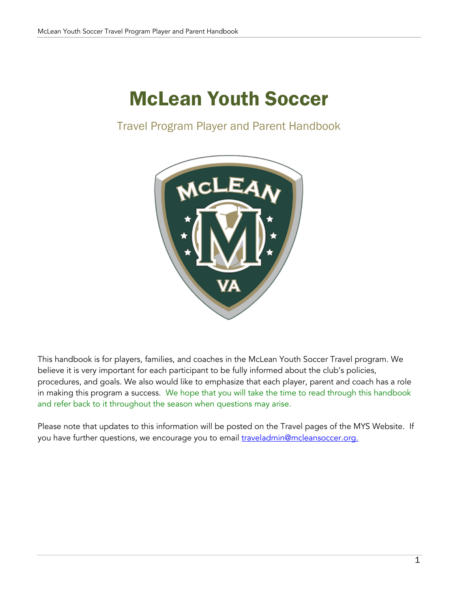# McLean Youth Soccer

Travel Program Player and Parent Handbook



This handbook is for players, families, and coaches in the McLean Youth Soccer Travel program. We believe it is very important for each participant to be fully informed about the club's policies, procedures, and goals. We also would like to emphasize that each player, parent and coach has a role in making this program a success. We hope that you will take the time to read through this handbook and refer back to it throughout the season when questions may arise.

Please note that updates to this information will be posted on the Travel pages of the MYS Website. If you have further questions, we encourage you to email *traveladmin@mcleansoccer.org.*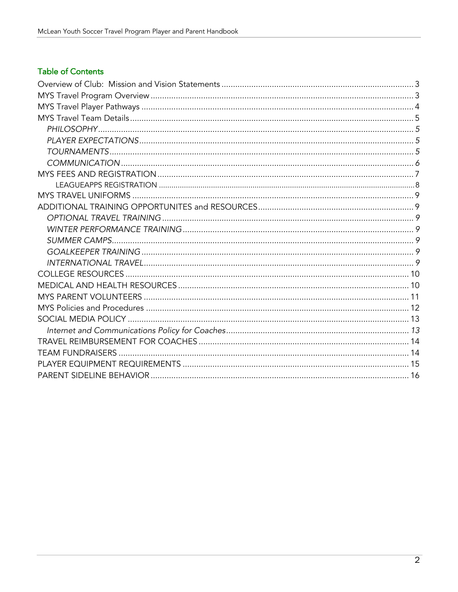# **Table of Contents**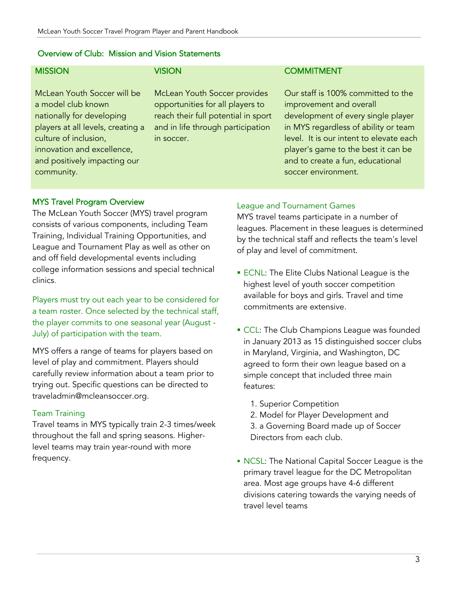#### Overview of Club: Mission and Vision Statements

## **MISSION**

McLean Youth Soccer will be a model club known nationally for developing players at all levels, creating a culture of inclusion, innovation and excellence, and positively impacting our community.

## VISION

McLean Youth Soccer provides opportunities for all players to reach their full potential in sport and in life through participation in soccer.

#### **COMMITMENT**

Our staff is 100% committed to the improvement and overall development of every single player in MYS regardless of ability or team level. It is our intent to elevate each player's game to the best it can be and to create a fun, educational soccer environment.

#### MYS Travel Program Overview

The McLean Youth Soccer (MYS) travel program consists of various components, including Team Training, Individual Training Opportunities, and League and Tournament Play as well as other on and off field developmental events including college information sessions and special technical clinics.

Players must try out each year to be considered for a team roster. Once selected by the technical staff, the player commits to one seasonal year (August - July) of participation with the team.

MYS offers a range of teams for players based on level of play and commitment. Players should carefully review information about a team prior to trying out. Specific questions can be directed to traveladmin@mcleansoccer.org.

#### Team Training

Travel teams in MYS typically train 2-3 times/week throughout the fall and spring seasons. Higherlevel teams may train year-round with more frequency.

#### League and Tournament Games

MYS travel teams participate in a number of leagues. Placement in these leagues is determined by the technical staff and reflects the team's level of play and level of commitment.

- ECNL: The Elite Clubs National League is the highest level of youth soccer competition available for boys and girls. Travel and time commitments are extensive.
- **CCL: The Club Champions League was founded** in January 2013 as 15 distinguished soccer clubs in Maryland, Virginia, and Washington, DC agreed to form their own league based on a simple concept that included three main features:
	- 1. Superior Competition
	- 2. Model for Player Development and 3. a Governing Board made up of Soccer
	- Directors from each club.
- § NCSL: The National Capital Soccer League is the primary travel league for the DC Metropolitan area. Most age groups have 4-6 different divisions catering towards the varying needs of travel level teams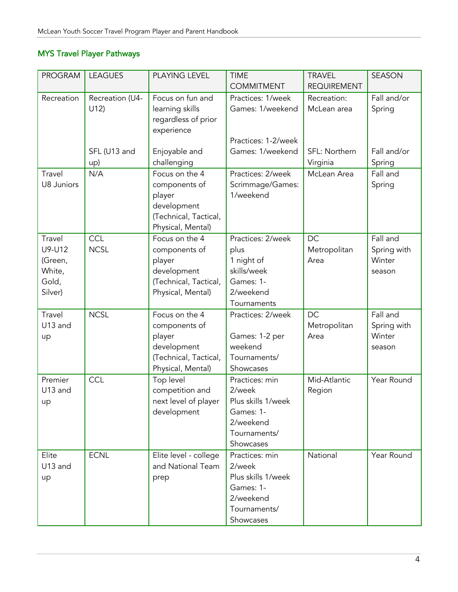# MYS Travel Player Pathways

| <b>PROGRAM</b>              | <b>LEAGUES</b>         | PLAYING LEVEL                                                                                          | <b>TIME</b><br><b>COMMITMENT</b>                   | <b>TRAVEL</b><br><b>REQUIREMENT</b> | <b>SEASON</b>         |
|-----------------------------|------------------------|--------------------------------------------------------------------------------------------------------|----------------------------------------------------|-------------------------------------|-----------------------|
| Recreation                  | Recreation (U4-<br>U12 | Focus on fun and<br>learning skills<br>regardless of prior<br>experience                               | Practices: 1/week<br>Games: 1/weekend              | Recreation:<br>McLean area          | Fall and/or<br>Spring |
|                             |                        |                                                                                                        | Practices: 1-2/week                                |                                     |                       |
|                             | SFL (U13 and<br>up)    | Enjoyable and<br>challenging                                                                           | Games: 1/weekend                                   | SFL: Northern<br>Virginia           | Fall and/or<br>Spring |
| Travel<br><b>U8 Juniors</b> | N/A                    | Focus on the 4<br>components of<br>player<br>development<br>(Technical, Tactical,<br>Physical, Mental) | Practices: 2/week<br>Scrimmage/Games:<br>1/weekend | McLean Area                         | Fall and<br>Spring    |
| Travel                      | <b>CCL</b>             | Focus on the 4                                                                                         | Practices: 2/week                                  | DC                                  | Fall and              |
| U9-U12<br>(Green,           | <b>NCSL</b>            | components of<br>player                                                                                | plus<br>1 night of                                 | Metropolitan<br>Area                | Spring with<br>Winter |
| White,                      |                        | development                                                                                            | skills/week                                        |                                     | season                |
| Gold,                       |                        | (Technical, Tactical,                                                                                  | Games: 1-                                          |                                     |                       |
| Silver)                     |                        | Physical, Mental)                                                                                      | 2/weekend                                          |                                     |                       |
|                             |                        |                                                                                                        | Tournaments                                        |                                     |                       |
| Travel                      | <b>NCSL</b>            | Focus on the 4                                                                                         | Practices: 2/week                                  | DC                                  | Fall and              |
| U13 and                     |                        | components of                                                                                          |                                                    | Metropolitan                        | Spring with           |
| up                          |                        | player                                                                                                 | Games: 1-2 per                                     | Area                                | Winter                |
|                             |                        | development                                                                                            | weekend                                            |                                     | season                |
|                             |                        | (Technical, Tactical,                                                                                  | Tournaments/                                       |                                     |                       |
|                             |                        | Physical, Mental)                                                                                      | Showcases                                          |                                     |                       |
| Premier                     | CCL                    | Top level                                                                                              | Practices: min                                     | Mid-Atlantic                        | Year Round            |
| U13 and                     |                        | competition and                                                                                        | 2/week                                             | Region                              |                       |
| up                          |                        | next level of player                                                                                   | Plus skills 1/week<br>Games: 1-                    |                                     |                       |
|                             |                        | development                                                                                            | 2/weekend                                          |                                     |                       |
|                             |                        |                                                                                                        | Tournaments/                                       |                                     |                       |
|                             |                        |                                                                                                        | Showcases                                          |                                     |                       |
| Elite                       | <b>ECNL</b>            | Elite level - college                                                                                  | Practices: min                                     | National                            | Year Round            |
| U13 and                     |                        | and National Team                                                                                      | 2/week                                             |                                     |                       |
| up                          |                        | prep                                                                                                   | Plus skills 1/week                                 |                                     |                       |
|                             |                        |                                                                                                        | Games: 1-                                          |                                     |                       |
|                             |                        |                                                                                                        | 2/weekend                                          |                                     |                       |
|                             |                        |                                                                                                        | Tournaments/                                       |                                     |                       |
|                             |                        |                                                                                                        | Showcases                                          |                                     |                       |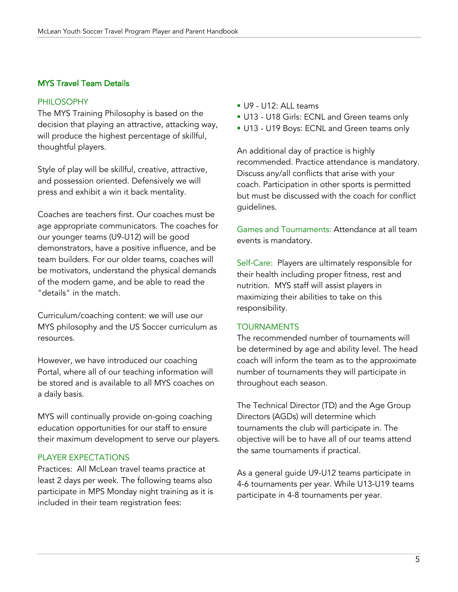## MYS Travel Team Details

#### PHILOSOPHY

The MYS Training Philosophy is based on the decision that playing an attractive, attacking way, will produce the highest percentage of skillful, thoughtful players.

Style of play will be skillful, creative, attractive, and possession oriented. Defensively we will press and exhibit a win it back mentality.

Coaches are teachers first. Our coaches must be age appropriate communicators. The coaches for our younger teams (U9-U12) will be good demonstrators, have a positive influence, and be team builders. For our older teams, coaches will be motivators, understand the physical demands of the modern game, and be able to read the "details" in the match.

Curriculum/coaching content: we will use our MYS philosophy and the US Soccer curriculum as resources.

However, we have introduced our coaching Portal, where all of our teaching information will be stored and is available to all MYS coaches on a daily basis.

MYS will continually provide on-going coaching education opportunities for our staff to ensure their maximum development to serve our players.

## PLAYER EXPECTATIONS

Practices: All McLean travel teams practice at least 2 days per week. The following teams also participate in MPS Monday night training as it is included in their team registration fees:

- § U9 U12: ALL teams
- § U13 U18 Girls: ECNL and Green teams only
- § U13 U19 Boys: ECNL and Green teams only

An additional day of practice is highly recommended. Practice attendance is mandatory. Discuss any/all conflicts that arise with your coach. Participation in other sports is permitted but must be discussed with the coach for conflict guidelines.

Games and Tournaments: Attendance at all team events is mandatory.

Self-Care: Players are ultimately responsible for their health including proper fitness, rest and nutrition. MYS staff will assist players in maximizing their abilities to take on this responsibility.

#### TOURNAMENTS

The recommended number of tournaments will be determined by age and ability level. The head coach will inform the team as to the approximate number of tournaments they will participate in throughout each season.

The Technical Director (TD) and the Age Group Directors (AGDs) will determine which tournaments the club will participate in. The objective will be to have all of our teams attend the same tournaments if practical.

As a general guide U9-U12 teams participate in 4-6 tournaments per year. While U13-U19 teams participate in 4-8 tournaments per year.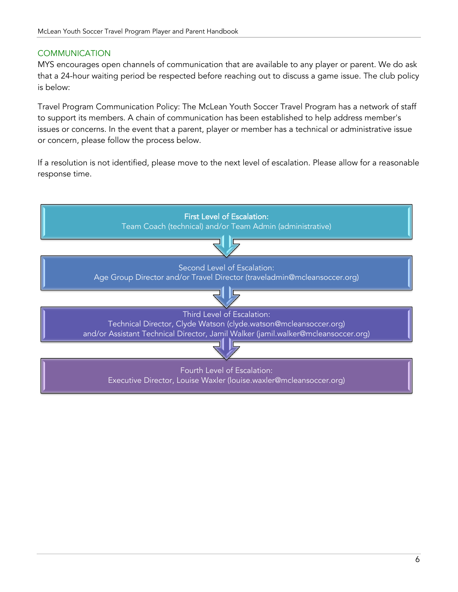## **COMMUNICATION**

MYS encourages open channels of communication that are available to any player or parent. We do ask that a 24-hour waiting period be respected before reaching out to discuss a game issue. The club policy is below:

Travel Program Communication Policy: The McLean Youth Soccer Travel Program has a network of staff to support its members. A chain of communication has been established to help address member's issues or concerns. In the event that a parent, player or member has a technical or administrative issue or concern, please follow the process below.

If a resolution is not identified, please move to the next level of escalation. Please allow for a reasonable response time.

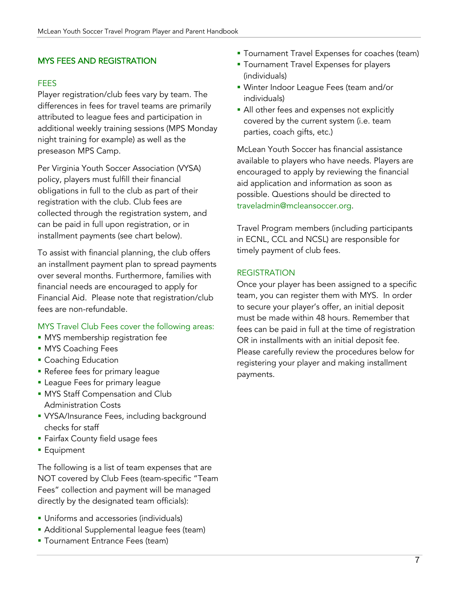## MYS FEES AND REGISTRATION

#### **FFFS**

Player registration/club fees vary by team. The differences in fees for travel teams are primarily attributed to league fees and participation in additional weekly training sessions (MPS Monday night training for example) as well as the preseason MPS Camp.

Per Virginia Youth Soccer Association (VYSA) policy, players must fulfill their financial obligations in full to the club as part of their registration with the club. Club fees are collected through the registration system, and can be paid in full upon registration, or in installment payments (see chart below).

To assist with financial planning, the club offers an installment payment plan to spread payments over several months. Furthermore, families with financial needs are encouraged to apply for Financial Aid. Please note that registration/club fees are non-refundable.

#### MYS Travel Club Fees cover the following areas:

- **MYS membership registration fee**
- **MYS Coaching Fees**
- Coaching Education
- **Referee fees for primary league**
- **E** League Fees for primary league
- MYS Staff Compensation and Club Administration Costs
- VYSA/Insurance Fees, including background checks for staff
- § Fairfax County field usage fees
- Equipment

The following is a list of team expenses that are NOT covered by Club Fees (team-specific "Team Fees" collection and payment will be managed directly by the designated team officials):

- **Uniforms and accessories (individuals)**
- Additional Supplemental league fees (team)
- **Tournament Entrance Fees (team)**
- **Tournament Travel Expenses for coaches (team)**
- **Tournament Travel Expenses for players** (individuals)
- § Winter Indoor League Fees (team and/or individuals)
- All other fees and expenses not explicitly covered by the current system (i.e. team parties, coach gifts, etc.)

McLean Youth Soccer has financial assistance available to players who have needs. Players are encouraged to apply by reviewing the financial aid application and information as soon as possible. Questions should be directed to traveladmin@mcleansoccer.org.

Travel Program members (including participants in ECNL, CCL and NCSL) are responsible for timely payment of club fees.

## **REGISTRATION**

Once your player has been assigned to a specific team, you can register them with MYS. In order to secure your player's offer, an initial deposit must be made within 48 hours. Remember that fees can be paid in full at the time of registration OR in installments with an initial deposit fee. Please carefully review the procedures below for registering your player and making installment payments.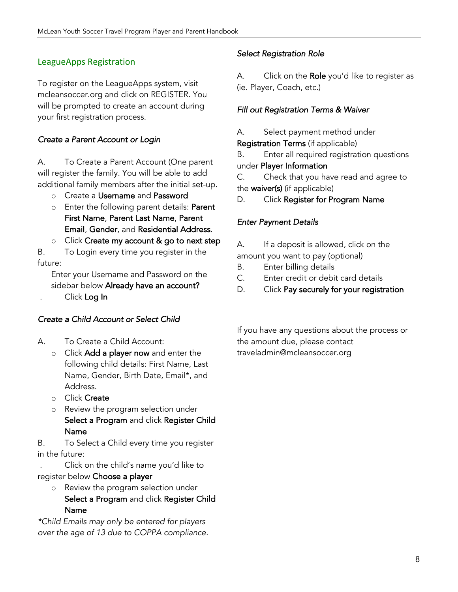# LeagueApps Registration

To register on the LeagueApps system, visit mcleansoccer.org and click on REGISTER. You will be prompted to create an account during your first registration process.

## *Create a Parent Account or Login*

A. To Create a Parent Account (One parent will register the family. You will be able to add additional family members after the initial set-up.

- o Create a Username and Password
- o Enter the following parent details: Parent First Name, Parent Last Name, Parent Email, Gender, and Residential Address.
- o Click Create my account & go to next step

B. To Login every time you register in the future:

Enter your Username and Password on the sidebar below Already have an account?

. Click Log In

## *Create a Child Account or Select Child*

- A. To Create a Child Account:
	- o Click Add a player now and enter the following child details: First Name, Last Name, Gender, Birth Date, Email\*, and Address.
	- o Click Create
	- o Review the program selection under Select a Program and click Register Child Name

B. To Select a Child every time you register in the future:

. Click on the child's name you'd like to register below Choose a player

o Review the program selection under Select a Program and click Register Child Name

*\*Child Emails may only be entered for players over the age of 13 due to COPPA compliance.*

## *Select Registration Role*

A. Click on the Role you'd like to register as (ie. Player, Coach, etc.)

## *Fill out Registration Terms & Waiver*

A. Select payment method under

Registration Terms (if applicable)

B. Enter all required registration questions under Player Information

C. Check that you have read and agree to the waiver(s) (if applicable)

D. Click Register for Program Name

## *Enter Payment Details*

- A. If a deposit is allowed, click on the amount you want to pay (optional)
- B. Enter billing details
- C. Enter credit or debit card details
- D. Click Pay securely for your registration

If you have any questions about the process or the amount due, please contact traveladmin@mcleansoccer.org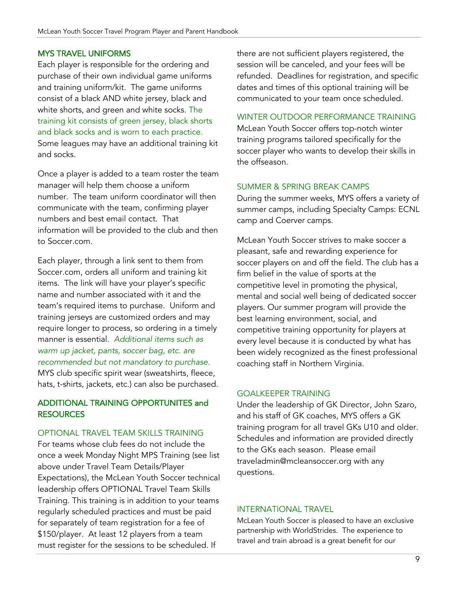## MYS TRAVEL UNIFORMS

Each player is responsible for the ordering and purchase of their own individual game uniforms and training uniform/kit. The game uniforms consist of a black AND white jersey, black and white shorts, and green and white socks. The training kit consists of green jersey, black shorts and black socks and is worn to each practice. Some leagues may have an additional training kit and socks.

Once a player is added to a team roster the team manager will help them choose a uniform number. The team uniform coordinator will then communicate with the team, confirming player numbers and best email contact. That information will be provided to the club and then to Soccer.com.

Each player, through a link sent to them from Soccer.com, orders all uniform and training kit items. The link will have your player's specific name and number associated with it and the team's required items to purchase. Uniform and training jerseys are customized orders and may require longer to process, so ordering in a timely manner is essential. *Additional items such as warm up jacket, pants, soccer bag, etc. are recommended but not mandatory to purchase.* MYS club specific spirit wear (sweatshirts, fleece, hats, t-shirts, jackets, etc.) can also be purchased.

## ADDITIONAL TRAINING OPPORTUNITES and **RESOURCES**

## OPTIONAL TRAVEL TEAM SKILLS TRAINING

For teams whose club fees do not include the once a week Monday Night MPS Training (see list above under Travel Team Details/Player Expectations), the McLean Youth Soccer technical leadership offers OPTIONAL Travel Team Skills Training. This training is in addition to your teams regularly scheduled practices and must be paid for separately of team registration for a fee of \$150/player. At least 12 players from a team must register for the sessions to be scheduled. If

there are not sufficient players registered, the session will be canceled, and your fees will be refunded. Deadlines for registration, and specific dates and times of this optional training will be communicated to your team once scheduled.

## WINTER OUTDOOR PERFORMANCE TRAINING

McLean Youth Soccer offers top-notch winter training programs tailored specifically for the soccer player who wants to develop their skills in the offseason.

## SUMMER & SPRING BREAK CAMPS

During the summer weeks, MYS offers a variety of summer camps, including Specialty Camps: ECNL camp and Coerver camps.

McLean Youth Soccer strives to make soccer a pleasant, safe and rewarding experience for soccer players on and off the field. The club has a firm belief in the value of sports at the competitive level in promoting the physical, mental and social well being of dedicated soccer players. Our summer program will provide the best learning environment, social, and competitive training opportunity for players at every level because it is conducted by what has been widely recognized as the finest professional coaching staff in Northern Virginia.

## GOALKEEPER TRAINING

Under the leadership of GK Director, John Szaro, and his staff of GK coaches, MYS offers a GK training program for all travel GKs U10 and older. Schedules and information are provided directly to the GKs each season. Please email traveladmin@mcleansoccer.org with any questions.

#### INTERNATIONAL TRAVEL

McLean Youth Soccer is pleased to have an exclusive partnership with WorldStrides. The experience to travel and train abroad is a great benefit for our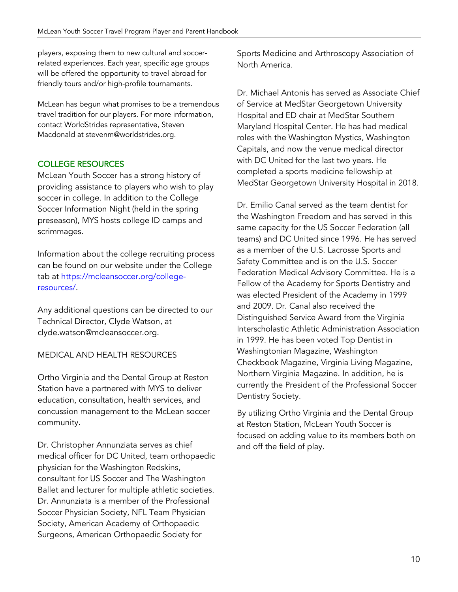players, exposing them to new cultural and soccerrelated experiences. Each year, specific age groups will be offered the opportunity to travel abroad for friendly tours and/or high-profile tournaments.

McLean has begun what promises to be a tremendous travel tradition for our players. For more information, contact WorldStrides representative, Steven Macdonald at stevenm@worldstrides.org.

# COLLEGE RESOURCES

McLean Youth Soccer has a strong history of providing assistance to players who wish to play soccer in college. In addition to the College Soccer Information Night (held in the spring preseason), MYS hosts college ID camps and scrimmages.

Information about the college recruiting process can be found on our website under the College tab at https://mcleansoccer.org/collegeresources/.

Any additional questions can be directed to our Technical Director, Clyde Watson, at clyde.watson@mcleansoccer.org.

## MEDICAL AND HEALTH RESOURCES

Ortho Virginia and the Dental Group at Reston Station have a partnered with MYS to deliver education, consultation, health services, and concussion management to the McLean soccer community.

Dr. Christopher Annunziata serves as chief medical officer for DC United, team orthopaedic physician for the Washington Redskins, consultant for US Soccer and The Washington Ballet and lecturer for multiple athletic societies. Dr. Annunziata is a member of the Professional Soccer Physician Society, NFL Team Physician Society, American Academy of Orthopaedic Surgeons, American Orthopaedic Society for

Sports Medicine and Arthroscopy Association of North America.

Dr. Michael Antonis has served as Associate Chief of Service at MedStar Georgetown University Hospital and ED chair at MedStar Southern Maryland Hospital Center. He has had medical roles with the Washington Mystics, Washington Capitals, and now the venue medical director with DC United for the last two years. He completed a sports medicine fellowship at MedStar Georgetown University Hospital in 2018.

Dr. Emilio Canal served as the team dentist for the Washington Freedom and has served in this same capacity for the US Soccer Federation (all teams) and DC United since 1996. He has served as a member of the U.S. Lacrosse Sports and Safety Committee and is on the U.S. Soccer Federation Medical Advisory Committee. He is a Fellow of the Academy for Sports Dentistry and was elected President of the Academy in 1999 and 2009. Dr. Canal also received the Distinguished Service Award from the Virginia Interscholastic Athletic Administration Association in 1999. He has been voted Top Dentist in Washingtonian Magazine, Washington Checkbook Magazine, Virginia Living Magazine, Northern Virginia Magazine. In addition, he is currently the President of the Professional Soccer Dentistry Society.

By utilizing Ortho Virginia and the Dental Group at Reston Station, McLean Youth Soccer is focused on adding value to its members both on and off the field of play.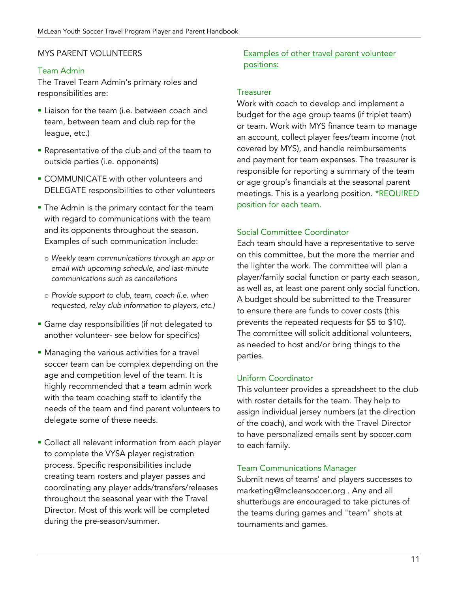#### MYS PARENT VOLUNTEERS

#### Team Admin

The Travel Team Admin's primary roles and responsibilities are:

- **Example 1** Liaison for the team (i.e. between coach and team, between team and club rep for the league, etc.)
- Representative of the club and of the team to outside parties (i.e. opponents)
- § COMMUNICATE with other volunteers and DELEGATE responsibilities to other volunteers
- The Admin is the primary contact for the team with regard to communications with the team and its opponents throughout the season. Examples of such communication include:
	- o *Weekly team communications through an app or email with upcoming schedule, and last-minute communications such as cancellations*
	- o *Provide support to club, team, coach (i.e. when requested, relay club information to players, etc.)*
- § Game day responsibilities (if not delegated to another volunteer- see below for specifics)
- **Managing the various activities for a travel** soccer team can be complex depending on the age and competition level of the team. It is highly recommended that a team admin work with the team coaching staff to identify the needs of the team and find parent volunteers to delegate some of these needs.
- Collect all relevant information from each player to complete the VYSA player registration process. Specific responsibilities include creating team rosters and player passes and coordinating any player adds/transfers/releases throughout the seasonal year with the Travel Director. Most of this work will be completed during the pre-season/summer.

## Examples of other travel parent volunteer positions:

#### **Treasurer**

Work with coach to develop and implement a budget for the age group teams (if triplet team) or team. Work with MYS finance team to manage an account, collect player fees/team income (not covered by MYS), and handle reimbursements and payment for team expenses. The treasurer is responsible for reporting a summary of the team or age group's financials at the seasonal parent meetings. This is a yearlong position. \*REQUIRED position for each team.

#### Social Committee Coordinator

Each team should have a representative to serve on this committee, but the more the merrier and the lighter the work. The committee will plan a player/family social function or party each season, as well as, at least one parent only social function. A budget should be submitted to the Treasurer to ensure there are funds to cover costs (this prevents the repeated requests for \$5 to \$10). The committee will solicit additional volunteers, as needed to host and/or bring things to the parties.

#### Uniform Coordinator

This volunteer provides a spreadsheet to the club with roster details for the team. They help to assign individual jersey numbers (at the direction of the coach), and work with the Travel Director to have personalized emails sent by soccer.com to each family.

#### Team Communications Manager

Submit news of teams' and players successes to marketing@mcleansoccer.org . Any and all shutterbugs are encouraged to take pictures of the teams during games and "team" shots at tournaments and games.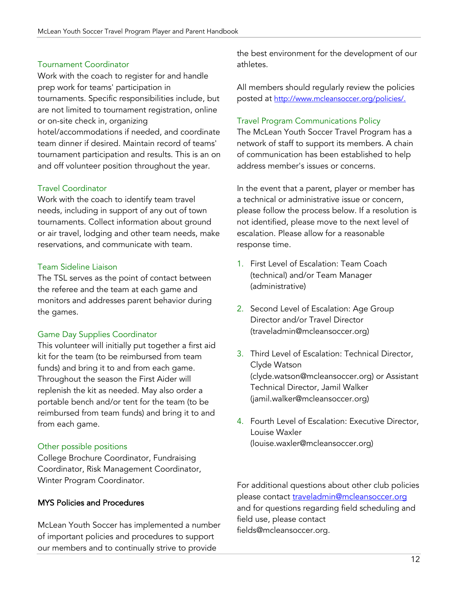## Tournament Coordinator

Work with the coach to register for and handle prep work for teams' participation in tournaments. Specific responsibilities include, but are not limited to tournament registration, online or on-site check in, organizing

hotel/accommodations if needed, and coordinate team dinner if desired. Maintain record of teams' tournament participation and results. This is an on and off volunteer position throughout the year.

#### Travel Coordinator

Work with the coach to identify team travel needs, including in support of any out of town tournaments. Collect information about ground or air travel, lodging and other team needs, make reservations, and communicate with team.

#### Team Sideline Liaison

The TSL serves as the point of contact between the referee and the team at each game and monitors and addresses parent behavior during the games.

#### Game Day Supplies Coordinator

This volunteer will initially put together a first aid kit for the team (to be reimbursed from team funds) and bring it to and from each game. Throughout the season the First Aider will replenish the kit as needed. May also order a portable bench and/or tent for the team (to be reimbursed from team funds) and bring it to and from each game.

#### Other possible positions

College Brochure Coordinator, Fundraising Coordinator, Risk Management Coordinator, Winter Program Coordinator.

#### MYS Policies and Procedures

McLean Youth Soccer has implemented a number of important policies and procedures to support our members and to continually strive to provide

the best environment for the development of our athletes.

All members should regularly review the policies posted at http://www.mcleansoccer.org/policies/.

#### Travel Program Communications Policy

The McLean Youth Soccer Travel Program has a network of staff to support its members. A chain of communication has been established to help address member's issues or concerns.

In the event that a parent, player or member has a technical or administrative issue or concern, please follow the process below. If a resolution is not identified, please move to the next level of escalation. Please allow for a reasonable response time.

- 1. First Level of Escalation: Team Coach (technical) and/or Team Manager (administrative)
- 2. Second Level of Escalation: Age Group Director and/or Travel Director (traveladmin@mcleansoccer.org)
- 3. Third Level of Escalation: Technical Director, Clyde Watson (clyde.watson@mcleansoccer.org) or Assistant Technical Director, Jamil Walker (jamil.walker@mcleansoccer.org)
- 4. Fourth Level of Escalation: Executive Director, Louise Waxler (louise.waxler@mcleansoccer.org)

For additional questions about other club policies please contact traveladmin@mcleansoccer.org and for questions regarding field scheduling and field use, please contact fields@mcleansoccer.org.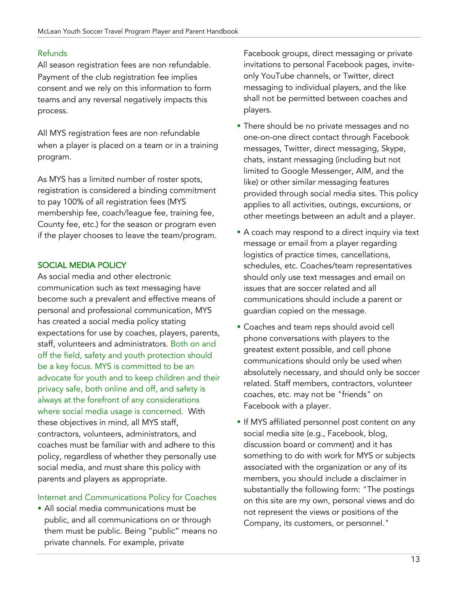## Refunds

All season registration fees are non‐refundable. Payment of the club registration fee implies consent and we rely on this information to form teams and any reversal negatively impacts this process.

All MYS registration fees are non‐refundable when a player is placed on a team or in a training program.

As MYS has a limited number of roster spots, registration is considered a binding commitment to pay 100% of all registration fees (MYS membership fee, coach/league fee, training fee, County fee, etc.) for the season or program even if the player chooses to leave the team/program.

## SOCIAL MEDIA POLICY

As social media and other electronic communication such as text messaging have become such a prevalent and effective means of personal and professional communication, MYS has created a social media policy stating expectations for use by coaches, players, parents, staff, volunteers and administrators. Both on and off the field, safety and youth protection should be a key focus. MYS is committed to be an advocate for youth and to keep children and their privacy safe, both online and off, and safety is always at the forefront of any considerations where social media usage is concerned. With these objectives in mind, all MYS staff, contractors, volunteers, administrators, and coaches must be familiar with and adhere to this policy, regardless of whether they personally use social media, and must share this policy with parents and players as appropriate.

## Internet and Communications Policy for Coaches

• All social media communications must be public, and all communications on or through them must be public. Being "public" means no private channels. For example, private

Facebook groups, direct messaging or private invitations to personal Facebook pages, inviteonly YouTube channels, or Twitter, direct messaging to individual players, and the like shall not be permitted between coaches and players.

- There should be no private messages and no one-on-one direct contact through Facebook messages, Twitter, direct messaging, Skype, chats, instant messaging (including but not limited to Google Messenger, AIM, and the like) or other similar messaging features provided through social media sites. This policy applies to all activities, outings, excursions, or other meetings between an adult and a player.
- A coach may respond to a direct inquiry via text message or email from a player regarding logistics of practice times, cancellations, schedules, etc. Coaches/team representatives should only use text messages and email on issues that are soccer related and all communications should include a parent or guardian copied on the message.
- Coaches and team reps should avoid cell phone conversations with players to the greatest extent possible, and cell phone communications should only be used when absolutely necessary, and should only be soccer related. Staff members, contractors, volunteer coaches, etc. may not be "friends" on Facebook with a player.
- **•** If MYS affiliated personnel post content on any social media site (e.g., Facebook, blog, discussion board or comment) and it has something to do with work for MYS or subjects associated with the organization or any of its members, you should include a disclaimer in substantially the following form: "The postings on this site are my own, personal views and do not represent the views or positions of the Company, its customers, or personnel."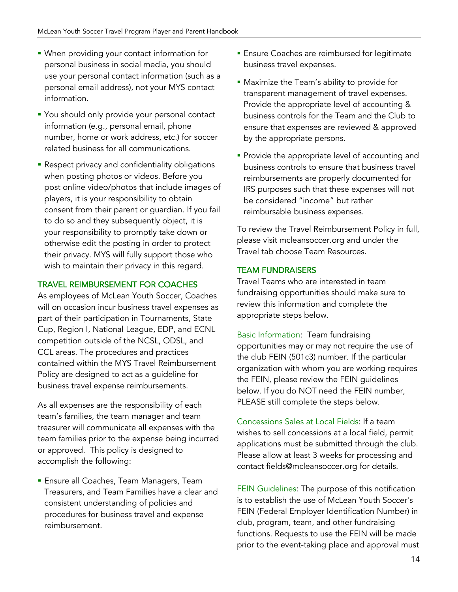- § When providing your contact information for personal business in social media, you should use your personal contact information (such as a personal email address), not your MYS contact information.
- You should only provide your personal contact information (e.g., personal email, phone number, home or work address, etc.) for soccer related business for all communications.
- **Respect privacy and confidentiality obligations** when posting photos or videos. Before you post online video/photos that include images of players, it is your responsibility to obtain consent from their parent or guardian. If you fail to do so and they subsequently object, it is your responsibility to promptly take down or otherwise edit the posting in order to protect their privacy. MYS will fully support those who wish to maintain their privacy in this regard.

## TRAVEL REIMBURSEMENT FOR COACHES

As employees of McLean Youth Soccer, Coaches will on occasion incur business travel expenses as part of their participation in Tournaments, State Cup, Region I, National League, EDP, and ECNL competition outside of the NCSL, ODSL, and CCL areas. The procedures and practices contained within the MYS Travel Reimbursement Policy are designed to act as a guideline for business travel expense reimbursements.

As all expenses are the responsibility of each team's families, the team manager and team treasurer will communicate all expenses with the team families prior to the expense being incurred or approved. This policy is designed to accomplish the following:

**Ensure all Coaches, Team Managers, Team** Treasurers, and Team Families have a clear and consistent understanding of policies and procedures for business travel and expense reimbursement.

- **Ensure Coaches are reimbursed for legitimate** business travel expenses.
- Maximize the Team's ability to provide for transparent management of travel expenses. Provide the appropriate level of accounting & business controls for the Team and the Club to ensure that expenses are reviewed & approved by the appropriate persons.
- **Provide the appropriate level of accounting and** business controls to ensure that business travel reimbursements are properly documented for IRS purposes such that these expenses will not be considered "income" but rather reimbursable business expenses.

To review the Travel Reimbursement Policy in full, please visit mcleansoccer.org and under the Travel tab choose Team Resources.

## TEAM FUNDRAISERS

Travel Teams who are interested in team fundraising opportunities should make sure to review this information and complete the appropriate steps below.

Basic Information: Team fundraising opportunities may or may not require the use of the club FEIN (501c3) number. If the particular organization with whom you are working requires the FEIN, please review the FEIN guidelines below. If you do NOT need the FEIN number, PLEASE still complete the steps below.

Concessions Sales at Local Fields: If a team wishes to sell concessions at a local field, permit applications must be submitted through the club. Please allow at least 3 weeks for processing and contact fields@mcleansoccer.org for details.

FEIN Guidelines: The purpose of this notification is to establish the use of McLean Youth Soccer's FEIN (Federal Employer Identification Number) in club, program, team, and other fundraising functions. Requests to use the FEIN will be made prior to the event-taking place and approval must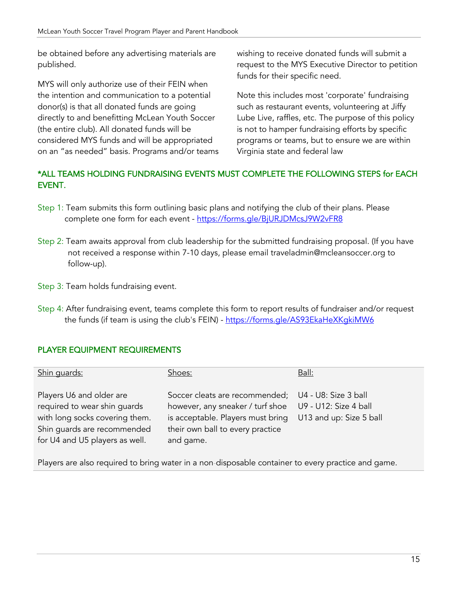be obtained before any advertising materials are published.

MYS will only authorize use of their FEIN when the intention and communication to a potential donor(s) is that all donated funds are going directly to and benefitting McLean Youth Soccer (the entire club). All donated funds will be considered MYS funds and will be appropriated on an "as needed" basis. Programs and/or teams wishing to receive donated funds will submit a request to the MYS Executive Director to petition funds for their specific need.

Note this includes most 'corporate' fundraising such as restaurant events, volunteering at Jiffy Lube Live, raffles, etc. The purpose of this policy is not to hamper fundraising efforts by specific programs or teams, but to ensure we are within Virginia state and federal law

# \*ALL TEAMS HOLDING FUNDRAISING EVENTS MUST COMPLETE THE FOLLOWING STEPS for EACH EVENT.

- Step 1: Team submits this form outlining basic plans and notifying the club of their plans. Please complete one form for each event - https://forms.gle/BjURJDMcsJ9W2vFR8
- Step 2: Team awaits approval from club leadership for the submitted fundraising proposal. (If you have not received a response within 7-10 days, please email traveladmin@mcleansoccer.org to follow-up).
- Step 3: Team holds fundraising event.
- Step 4: After fundraising event, teams complete this form to report results of fundraiser and/or request the funds (if team is using the club's FEIN) - https://forms.gle/AS93EkaHeXKgkiMW6

## PLAYER EQUIPMENT REQUIREMENTS

| Shin guards:                                                                                                                                                | Shoes:                                                                                                                                                                        | Ball:                                            |
|-------------------------------------------------------------------------------------------------------------------------------------------------------------|-------------------------------------------------------------------------------------------------------------------------------------------------------------------------------|--------------------------------------------------|
| Players U6 and older are<br>required to wear shin guards<br>with long socks covering them.<br>Shin guards are recommended<br>for U4 and U5 players as well. | Soccer cleats are recommended; U4 - U8: Size 3 ball<br>however, any sneaker / turf shoe<br>is acceptable. Players must bring<br>their own ball to every practice<br>and game. | U9 - U12: Size 4 ball<br>U13 and up: Size 5 ball |

Players are also required to bring water in a non‐disposable container to every practice and game.